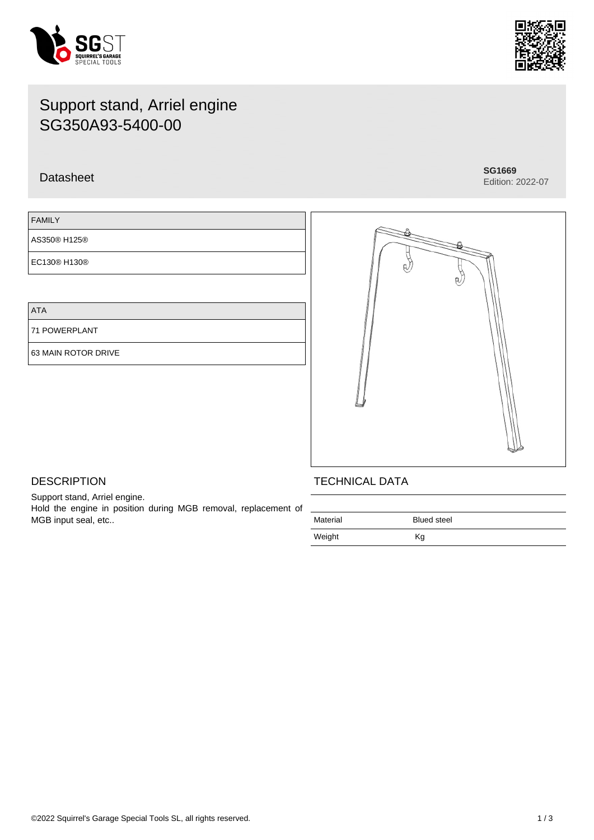



# Support stand, Arriel engine SG350A93-5400-00

## Datasheet **SG1669**

Edition: 2022-07

| <b>FAMILY</b> |  |  |
|---------------|--|--|
| AS350® H125®  |  |  |
| EC130® H130®  |  |  |

ATA

 $F$ 

71 POWERPLANT

63 MAIN ROTOR DRIVE



## **DESCRIPTION**

Support stand, Arriel engine. Hold the engine in position during MGB removal, replacement of MGB input seal, etc..

## TECHNICAL DATA

| Material | <b>Blued steel</b> |
|----------|--------------------|
| Weight   | Kg                 |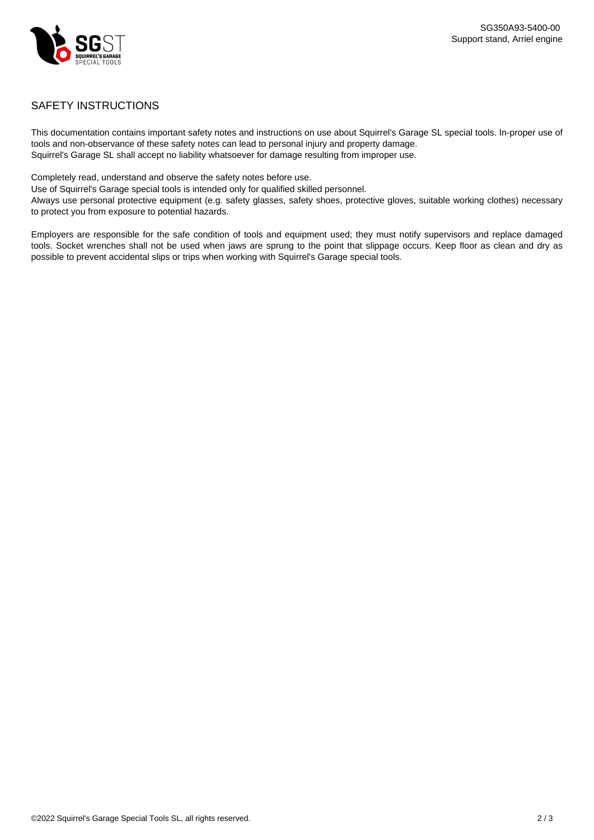

## SAFETY INSTRUCTIONS

This documentation contains important safety notes and instructions on use about Squirrel's Garage SL special tools. In-proper use of tools and non-observance of these safety notes can lead to personal injury and property damage. Squirrel's Garage SL shall accept no liability whatsoever for damage resulting from improper use.

Completely read, understand and observe the safety notes before use.

Use of Squirrel's Garage special tools is intended only for qualified skilled personnel.

Always use personal protective equipment (e.g. safety glasses, safety shoes, protective gloves, suitable working clothes) necessary to protect you from exposure to potential hazards.

Employers are responsible for the safe condition of tools and equipment used; they must notify supervisors and replace damaged tools. Socket wrenches shall not be used when jaws are sprung to the point that slippage occurs. Keep floor as clean and dry as possible to prevent accidental slips or trips when working with Squirrel's Garage special tools.